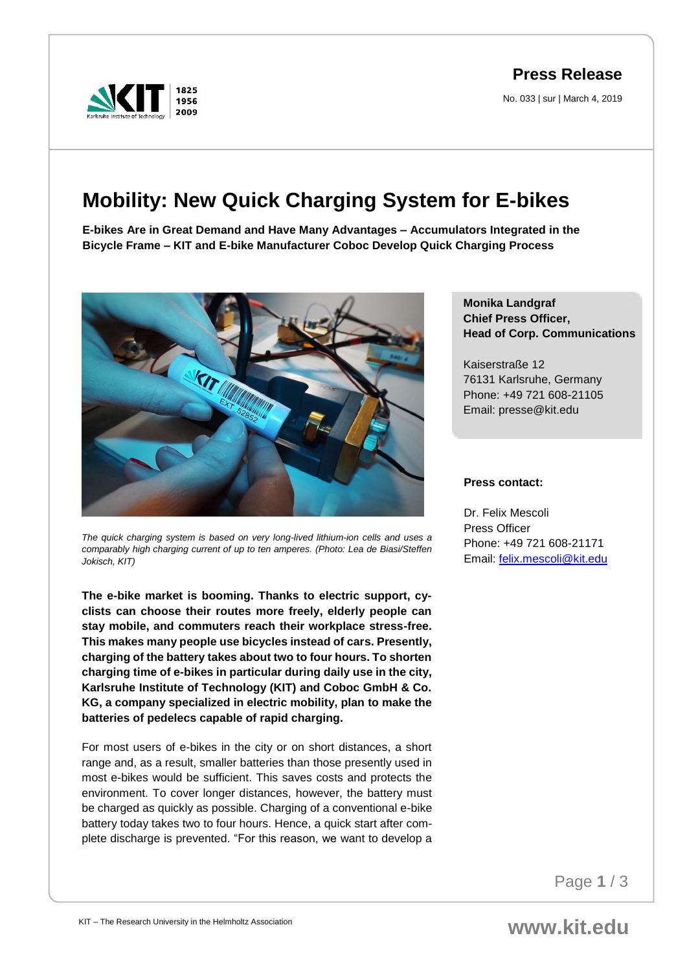**Press Release**

No. 033 | sur | March 4, 2019



## **Mobility: New Quick Charging System for E-bikes**

**E-bikes Are in Great Demand and Have Many Advantages – Accumulators Integrated in the Bicycle Frame – KIT and E-bike Manufacturer Coboc Develop Quick Charging Process**



*The quick charging system is based on very long-lived lithium-ion cells and uses a comparably high charging current of up to ten amperes. (Photo: Lea de Biasi/Steffen Jokisch, KIT)*

**The e-bike market is booming. Thanks to electric support, cyclists can choose their routes more freely, elderly people can stay mobile, and commuters reach their workplace stress-free. This makes many people use bicycles instead of cars. Presently, charging of the battery takes about two to four hours. To shorten charging time of e-bikes in particular during daily use in the city, Karlsruhe Institute of Technology (KIT) and Coboc GmbH & Co. KG, a company specialized in electric mobility, plan to make the batteries of pedelecs capable of rapid charging.** 

For most users of e-bikes in the city or on short distances, a short range and, as a result, smaller batteries than those presently used in most e-bikes would be sufficient. This saves costs and protects the environment. To cover longer distances, however, the battery must be charged as quickly as possible. Charging of a conventional e-bike battery today takes two to four hours. Hence, a quick start after complete discharge is prevented. "For this reason, we want to develop a

## **Monika Landgraf Chief Press Officer, Head of Corp. Communications**

Kaiserstraße 12 76131 Karlsruhe, Germany Phone: +49 721 608-21105 Email: presse@kit.edu

## **Press contact:**

Dr. Felix Mescoli Press Officer Phone: +49 721 608-21171 Email: [felix.mescoli@kit.edu](mailto:felix.mescoli@kit.edu)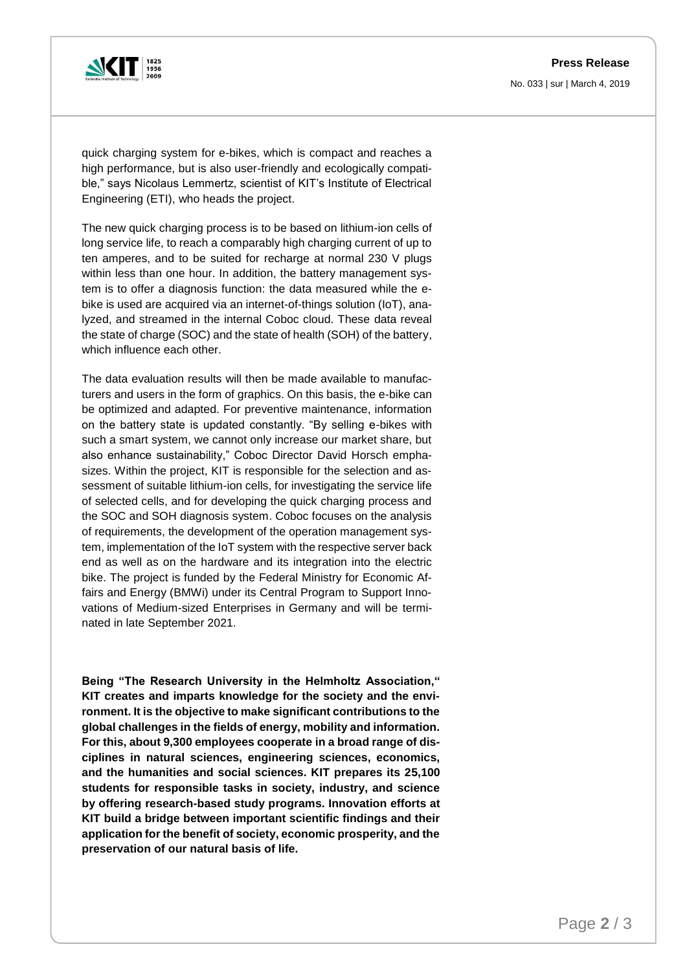## **Press Release**

No. 033 | sur | March 4, 2019



quick charging system for e-bikes, which is compact and reaches a high performance, but is also user-friendly and ecologically compatible," says Nicolaus Lemmertz, scientist of KIT's Institute of Electrical Engineering (ETI), who heads the project.

The new quick charging process is to be based on lithium-ion cells of long service life, to reach a comparably high charging current of up to ten amperes, and to be suited for recharge at normal 230 V plugs within less than one hour. In addition, the battery management system is to offer a diagnosis function: the data measured while the ebike is used are acquired via an internet-of-things solution (IoT), analyzed, and streamed in the internal Coboc cloud. These data reveal the state of charge (SOC) and the state of health (SOH) of the battery, which influence each other.

The data evaluation results will then be made available to manufacturers and users in the form of graphics. On this basis, the e-bike can be optimized and adapted. For preventive maintenance, information on the battery state is updated constantly. "By selling e-bikes with such a smart system, we cannot only increase our market share, but also enhance sustainability," Coboc Director David Horsch emphasizes. Within the project, KIT is responsible for the selection and assessment of suitable lithium-ion cells, for investigating the service life of selected cells, and for developing the quick charging process and the SOC and SOH diagnosis system. Coboc focuses on the analysis of requirements, the development of the operation management system, implementation of the IoT system with the respective server back end as well as on the hardware and its integration into the electric bike. The project is funded by the Federal Ministry for Economic Affairs and Energy (BMWi) under its Central Program to Support Innovations of Medium-sized Enterprises in Germany and will be terminated in late September 2021.

**Being "The Research University in the Helmholtz Association," KIT creates and imparts knowledge for the society and the environment. It is the objective to make significant contributions to the global challenges in the fields of energy, mobility and information. For this, about 9,300 employees cooperate in a broad range of disciplines in natural sciences, engineering sciences, economics, and the humanities and social sciences. KIT prepares its 25,100 students for responsible tasks in society, industry, and science by offering research-based study programs. Innovation efforts at KIT build a bridge between important scientific findings and their application for the benefit of society, economic prosperity, and the preservation of our natural basis of life.**